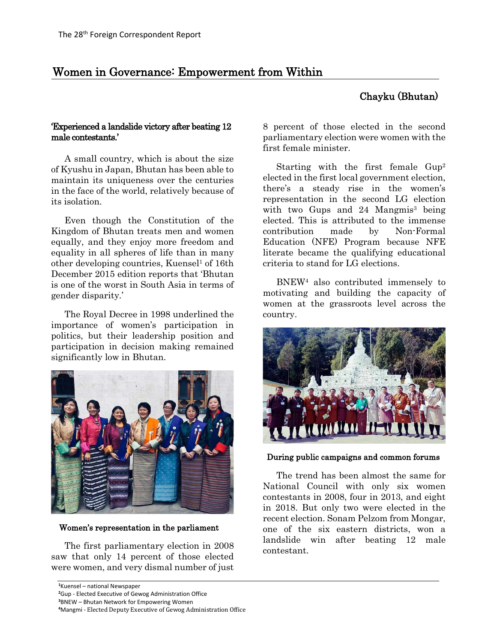# Women in Governance: Empowerment from Within

## Chayku (Bhutan)

### 'Experienced a landslide victory after beating 12 male contestants.'

A small country, which is about the size of Kyushu in Japan, Bhutan has been able to maintain its uniqueness over the centuries in the face of the world, relatively because of its isolation.

Even though the Constitution of the Kingdom of Bhutan treats men and women equally, and they enjoy more freedom and equality in all spheres of life than in many other developing countries, Kuensel<sup>1</sup> of 16th December 2015 edition reports that 'Bhutan is one of the worst in South Asia in terms of gender disparity.'

The Royal Decree in 1998 underlined the importance of women's participation in politics, but their leadership position and participation in decision making remained significantly low in Bhutan.



Women's representation in the parliament

The first parliamentary election in 2008 saw that only 14 percent of those elected were women, and very dismal number of just

**<sup>3</sup>**BNEW – Bhutan Network for Empowering Women

8 percent of those elected in the second parliamentary election were women with the first female minister.

Starting with the first female Gup2 elected in the first local government election, there's a steady rise in the women's representation in the second LG election with two Gups and  $24$  Mangmis<sup>3</sup> being elected. This is attributed to the immense contribution made by Non-Formal Education (NFE) Program because NFE literate became the qualifying educational criteria to stand for LG elections.

BNEW4 also contributed immensely to motivating and building the capacity of women at the grassroots level across the country.



During public campaigns and common forums

The trend has been almost the same for National Council with only six women contestants in 2008, four in 2013, and eight in 2018. But only two were elected in the recent election. Sonam Pelzom from Mongar, one of the six eastern districts, won a landslide win after beating 12 male contestant.

**<sup>1</sup>** Kuensel – national Newspaper

**<sup>2</sup>** Gup - Elected Executive of Gewog Administration Office

**<sup>4</sup>** Mangmi - Elected Deputy Executive of Gewog Administration Office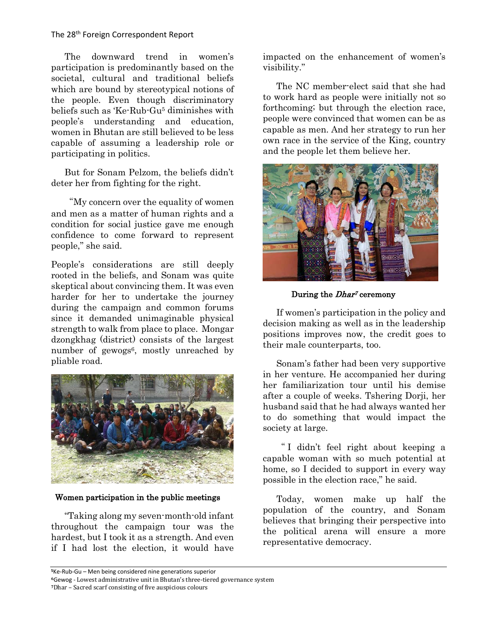The 28th Foreign Correspondent Report

The downward trend in women's participation is predominantly based on the societal, cultural and traditional beliefs which are bound by stereotypical notions of the people. Even though discriminatory beliefs such as 'Ke-Rub-Gu5 diminishes with people's understanding and education, women in Bhutan are still believed to be less capable of assuming a leadership role or participating in politics.

But for Sonam Pelzom, the beliefs didn't deter her from fighting for the right.

"My concern over the equality of women and men as a matter of human rights and a condition for social justice gave me enough confidence to come forward to represent people," she said.

People's considerations are still deeply rooted in the beliefs, and Sonam was quite skeptical about convincing them. It was even harder for her to undertake the journey during the campaign and common forums since it demanded unimaginable physical strength to walk from place to place. Mongar dzongkhag (district) consists of the largest number of gewogs<sup>6</sup>, mostly unreached by pliable road.



Women participation in the public meetings

"Taking along my seven-month-old infant throughout the campaign tour was the hardest, but I took it as a strength. And even if I had lost the election, it would have impacted on the enhancement of women's visibility."

The NC member-elect said that she had to work hard as people were initially not so forthcoming; but through the election race, people were convinced that women can be as capable as men. And her strategy to run her own race in the service of the King, country and the people let them believe her.



During the *Dhar<sup>7</sup>* ceremony

If women's participation in the policy and decision making as well as in the leadership positions improves now, the credit goes to their male counterparts, too.

Sonam's father had been very supportive in her venture. He accompanied her during her familiarization tour until his demise after a couple of weeks. Tshering Dorji, her husband said that he had always wanted her to do something that would impact the society at large.

" I didn't feel right about keeping a capable woman with so much potential at home, so I decided to support in every way possible in the election race," he said.

Today, women make up half the population of the country, and Sonam believes that bringing their perspective into the political arena will ensure a more representative democracy.

**<sup>5</sup>**Ke-Rub-Gu – Men being considered nine generations superior

**<sup>6</sup>**Gewog - Lowest administrative unit in Bhutan's three-tiered governance system

**<sup>7</sup>**Dhar – Sacred scarf consisting of five auspicious colours